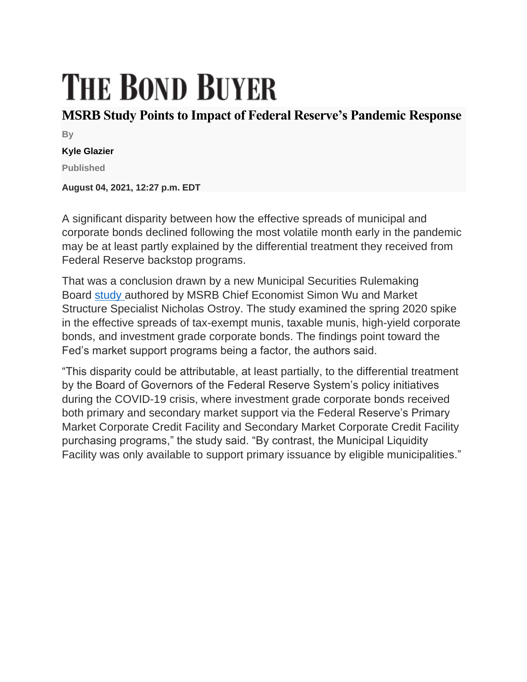## **THE BOND BUYER**

## **MSRB Study Points to Impact of Federal Reserve's Pandemic Response**

**By**

## **Kyle Glazier**

**Published**

**August 04, 2021, 12:27 p.m. EDT**

A significant disparity between how the effective spreads of municipal and corporate bonds declined following the most volatile month early in the pandemic may be at least partly explained by the differential treatment they received from Federal Reserve backstop programs.

That was a conclusion drawn by a new Municipal Securities Rulemaking Board [study](https://msrb.org/-/media/Files/Resources/MSRB-Trading-Costs-During-COVID-19.ashx?) authored by MSRB Chief Economist Simon Wu and Market Structure Specialist Nicholas Ostroy. The study examined the spring 2020 spike in the effective spreads of tax-exempt munis, taxable munis, high-yield corporate bonds, and investment grade corporate bonds. The findings point toward the Fed's market support programs being a factor, the authors said.

"This disparity could be attributable, at least partially, to the differential treatment by the Board of Governors of the Federal Reserve System's policy initiatives during the COVID-19 crisis, where investment grade corporate bonds received both primary and secondary market support via the Federal Reserve's Primary Market Corporate Credit Facility and Secondary Market Corporate Credit Facility purchasing programs," the study said. "By contrast, the Municipal Liquidity Facility was only available to support primary issuance by eligible municipalities."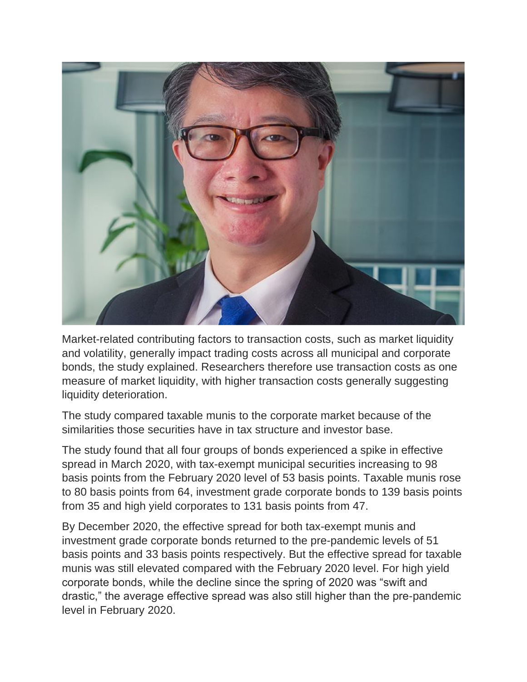

Market-related contributing factors to transaction costs, such as market liquidity and volatility, generally impact trading costs across all municipal and corporate bonds, the study explained. Researchers therefore use transaction costs as one measure of market liquidity, with higher transaction costs generally suggesting liquidity deterioration.

The study compared taxable munis to the corporate market because of the similarities those securities have in tax structure and investor base.

The study found that all four groups of bonds experienced a spike in effective spread in March 2020, with tax-exempt municipal securities increasing to 98 basis points from the February 2020 level of 53 basis points. Taxable munis rose to 80 basis points from 64, investment grade corporate bonds to 139 basis points from 35 and high yield corporates to 131 basis points from 47.

By December 2020, the effective spread for both tax-exempt munis and investment grade corporate bonds returned to the pre-pandemic levels of 51 basis points and 33 basis points respectively. But the effective spread for taxable munis was still elevated compared with the February 2020 level. For high yield corporate bonds, while the decline since the spring of 2020 was "swift and drastic," the average effective spread was also still higher than the pre-pandemic level in February 2020.